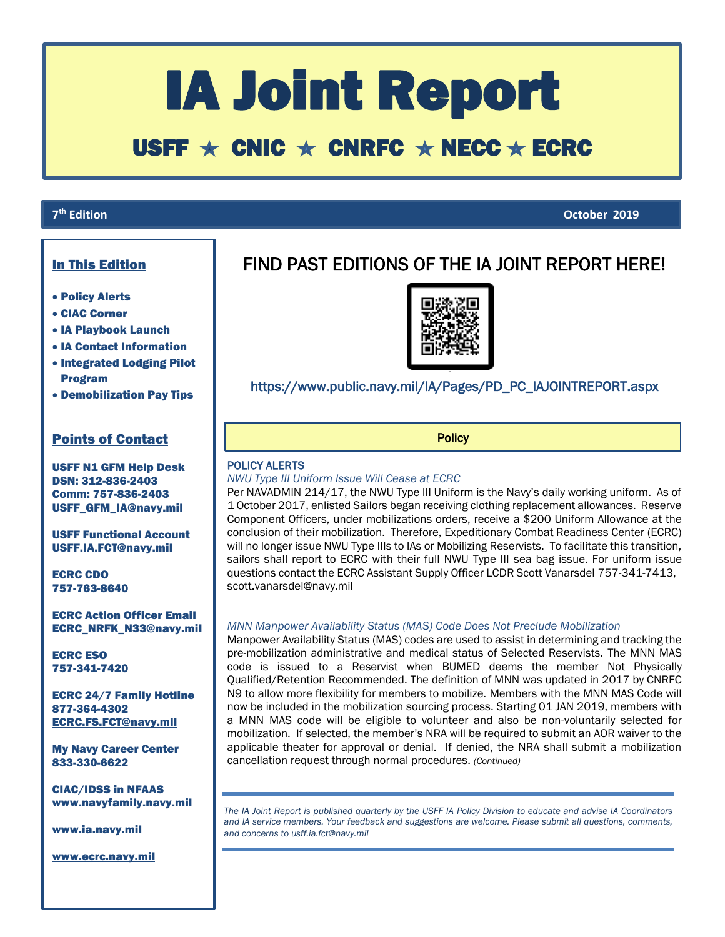# IA Joint Report

# USFF  $\star$  CNIC  $\star$  CNRFC  $\star$  NECC  $\star$  ECRC

## **7<sup>th</sup>** Edition

# In This Edition

- Policy Alerts
- CIAC Corner
- IA Playbook Launch
- IA Contact Information
- **. Integrated Lodging Pilot** Program
- Demobilization Pay Tips

### Points of Contact

USFF N1 GFM Help Desk DSN: 312-836-2403 Comm: 757-836-2403 USFF\_GFM\_IA@navy.mil

USFF Functional Account [USFF.IA.FCT@navy.mil](mailto:USFF.IA.FCT@navy.mil)

ECRC CDO 757-763-8640

ECRC Action Officer Email ECRC\_NRFK\_N33@navy.mil

ECRC ESO 757-341-7420

ECRC 24/7 Family Hotline 877-364-4302 [ECRC.FS.FCT@navy.mil](mailto:ECRC.FS.FCT@navy.mil)

My Navy Career Center 833-330-6622

CIAC/IDSS in NFAAS [www.navyfamily.navy.mil](http://www.navyfamily.navy.mil/)

[www.ia.navy.mil](http://www.ia.navy.mil/)

[www.ecrc.navy.mil](http://www.ecrc.navy.mil/)

# FIND PAST EDITIONS OF THE IA JOINT REPORT HERE!

I



# https://www.public.navy.mil/IA/Pages/PD\_PC\_IAJOINTREPORT.aspx

**Policy** 

#### POLICY ALERTS

l,

#### *NWU Type III Uniform Issue Will Cease at ECRC*

Per NAVADMIN 214/17, the NWU Type III Uniform is the Navy's daily working uniform. As of 1 October 2017, enlisted Sailors began receiving clothing replacement allowances. Reserve Component Officers, under mobilizations orders, receive a \$200 Uniform Allowance at the conclusion of their mobilization. Therefore, Expeditionary Combat Readiness Center (ECRC) will no longer issue NWU Type IIIs to IAs or Mobilizing Reservists. To facilitate this transition, sailors shall report to ECRC with their full NWU Type III sea bag issue. For uniform issue questions contact the ECRC Assistant Supply Officer LCDR Scott Vanarsdel 757-341-7413, scott.vanarsdel@navy.mil

#### *MNN Manpower Availability Status (MAS) Code Does Not Preclude Mobilization*

Manpower Availability Status (MAS) codes are used to assist in determining and tracking the pre-mobilization administrative and medical status of Selected Reservists. The MNN MAS code is issued to a Reservist when BUMED deems the member Not Physically Qualified/Retention Recommended. The definition of MNN was updated in 2017 by CNRFC N9 to allow more flexibility for members to mobilize. Members with the MNN MAS Code will now be included in the mobilization sourcing process. Starting 01 JAN 2019, members with a MNN MAS code will be eligible to volunteer and also be non-voluntarily selected for mobilization. If selected, the member's NRA will be required to submit an AOR waiver to the applicable theater for approval or denial. If denied, the NRA shall submit a mobilization cancellation request through normal procedures. *(Continued)*

*The IA Joint Report is published quarterly by the USFF IA Policy Division to educate and advise IA Coordinators and IA service members. Your feedback and suggestions are welcome. Please submit all questions, comments, and concerns t[o usff.ia.fct@navy.mil](mailto:usff.ia.fct@navy.mil)*

**th Edition October 2019**

 $\overline{\phantom{a}}$